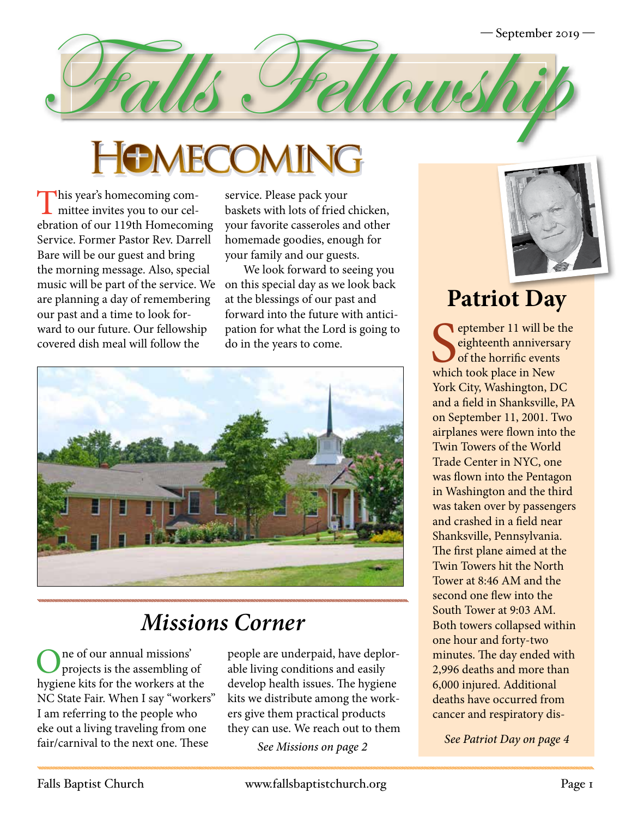

This year's homecoming com-<br>mittee invites you to our celebration of our 119th Homecoming Service. Former Pastor Rev. Darrell Bare will be our guest and bring the morning message. Also, special music will be part of the service. We are planning a day of remembering our past and a time to look forward to our future. Our fellowship covered dish meal will follow the

service. Please pack your baskets with lots of fried chicken, your favorite casseroles and other homemade goodies, enough for your family and our guests.

We look forward to seeing you on this special day as we look back at the blessings of our past and forward into the future with anticipation for what the Lord is going to do in the years to come.



# *Missions Corner*

One of our annual missions' projects is the assembling of hygiene kits for the workers at the NC State Fair. When I say "workers" I am referring to the people who eke out a living traveling from one fair/carnival to the next one. These

people are underpaid, have deplorable living conditions and easily develop health issues. The hygiene kits we distribute among the workers give them practical products they can use. We reach out to them

*See Missions on page 2*



# **Patriot Day**

Supplember 11 will be eighteenth anniversal of the horrific events which took place in New eptember 11 will be the eighteenth anniversary of the horrific events York City, Washington, DC and a field in Shanksville, PA on September 11, 2001. Two airplanes were flown into the Twin Towers of the World Trade Center in NYC, one was flown into the Pentagon in Washington and the third was taken over by passengers and crashed in a field near Shanksville, Pennsylvania. The first plane aimed at the Twin Towers hit the North Tower at 8:46 AM and the second one flew into the South Tower at 9:03 AM. Both towers collapsed within one hour and forty-two minutes. The day ended with 2,996 deaths and more than 6,000 injured. Additional deaths have occurred from cancer and respiratory dis-

*See Patriot Day on page 4*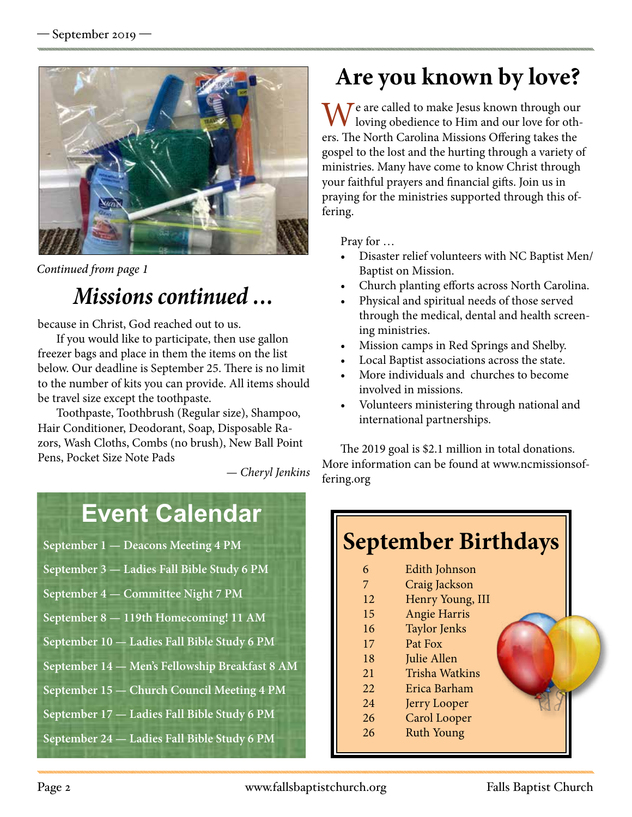

*Continued from page 1*

### *Missions continued …*

because in Christ, God reached out to us.

If you would like to participate, then use gallon freezer bags and place in them the items on the list below. Our deadline is September 25. There is no limit to the number of kits you can provide. All items should be travel size except the toothpaste.

Toothpaste, Toothbrush (Regular size), Shampoo, Hair Conditioner, Deodorant, Soap, Disposable Razors, Wash Cloths, Combs (no brush), New Ball Point Pens, Pocket Size Note Pads

*— Cheryl Jenkins*

# **Event Calendar**

- **September 1 Deacons Meeting 4 PM**
- **September 3 Ladies Fall Bible Study 6 PM**
- **September 4 Committee Night 7 PM**
- **September 8 119th Homecoming! 11 AM**
- **September 10 Ladies Fall Bible Study 6 PM**
- **September 14 Men's Fellowship Breakfast 8 AM**
- **September 15 Church Council Meeting 4 PM**
- **September 17 Ladies Fall Bible Study 6 PM**
- **September 24 Ladies Fall Bible Study 6 PM**

# **Are you known by love?**

 $\blacksquare$   $\blacktriangle$   $\blacktriangleright$   $\blacktriangleright$  are called to make Jesus known through our loving obedience to Him and our love for others. The North Carolina Missions Offering takes the gospel to the lost and the hurting through a variety of ministries. Many have come to know Christ through your faithful prayers and financial gifts. Join us in praying for the ministries supported through this offering.

Pray for …

- Disaster relief volunteers with NC Baptist Men/ Baptist on Mission.
- Church planting efforts across North Carolina.
- Physical and spiritual needs of those served through the medical, dental and health screening ministries.
- Mission camps in Red Springs and Shelby.
- Local Baptist associations across the state.
- More individuals and churches to become involved in missions.
- Volunteers ministering through national and international partnerships.

The 2019 goal is \$2.1 million in total donations. More information can be found at www.ncmissionsoffering.org

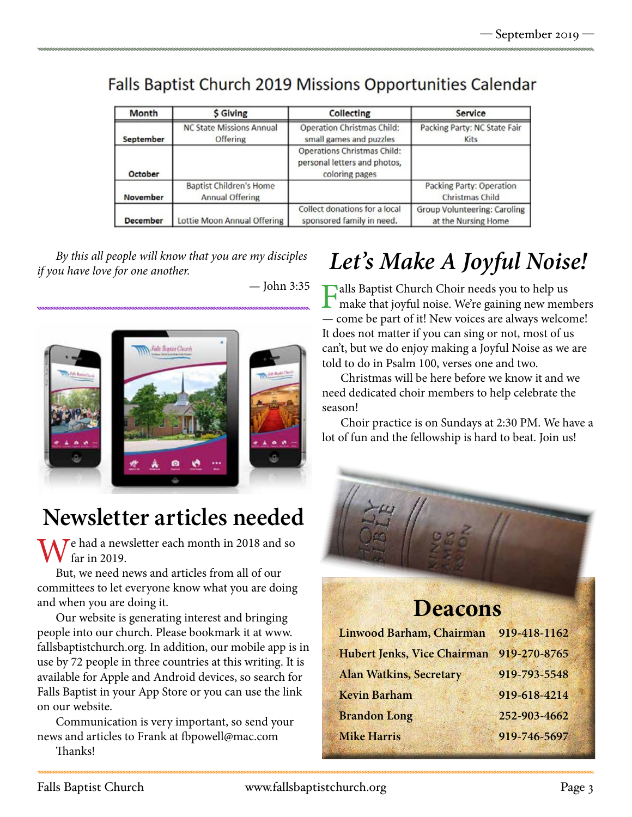#### Falls Baptist Church 2019 Missions Opportunities Calendar

| Month            | <b>S</b> Giving                                          | Collecting                                                                           | Service                                             |
|------------------|----------------------------------------------------------|--------------------------------------------------------------------------------------|-----------------------------------------------------|
| <b>September</b> | <b>NC State Missions Annual</b><br>Offering              | Operation Christmas Child:<br>small games and puzzles                                | Packing Party: NC State Fair<br><b>Kits</b>         |
| October          |                                                          | <b>Operations Christmas Child:</b><br>personal letters and photos,<br>coloring pages |                                                     |
| <b>November</b>  | <b>Baptist Children's Home</b><br><b>Annual Offering</b> |                                                                                      | Packing Party: Operation<br><b>Christmas Child</b>  |
| <b>December</b>  | Lottie Moon Annual Offering                              | Collect donations for a local<br>sponsored family in need.                           | Group Volunteering: Caroling<br>at the Nursing Home |

*if you have love for one another.*

— John 3:35



# **Newsletter articles needed**

 $\overline{I}$ e had a newsletter each month in 2018 and so far in 2019.

But, we need news and articles from all of our committees to let everyone know what you are doing and when you are doing it.

Our website is generating interest and bringing people into our church. Please bookmark it at www. fallsbaptistchurch.org. In addition, our mobile app is in use by 72 people in three countries at this writing. It is available for Apple and Android devices, so search for Falls Baptist in your App Store or you can use the link on our website.

Communication is very important, so send your news and articles to Frank at fbpowell@mac.com Thanks!

# *Let's Make A Joyful Noise! By this all people will know that you are my disciples*

Falls Baptist Church Choir needs you to help us make that joyful noise. We're gaining new members — come be part of it! New voices are always welcome! It does not matter if you can sing or not, most of us can't, but we do enjoy making a Joyful Noise as we are told to do in Psalm 100, verses one and two.

Christmas will be here before we know it and we need dedicated choir members to help celebrate the season!

Choir practice is on Sundays at 2:30 PM. We have a lot of fun and the fellowship is hard to beat. Join us!

### **Deacons**

| 919-418-1162 |
|--------------|
| 919-270-8765 |
| 919-793-5548 |
| 919-618-4214 |
| 252-903-4662 |
| 919-746-5697 |
|              |